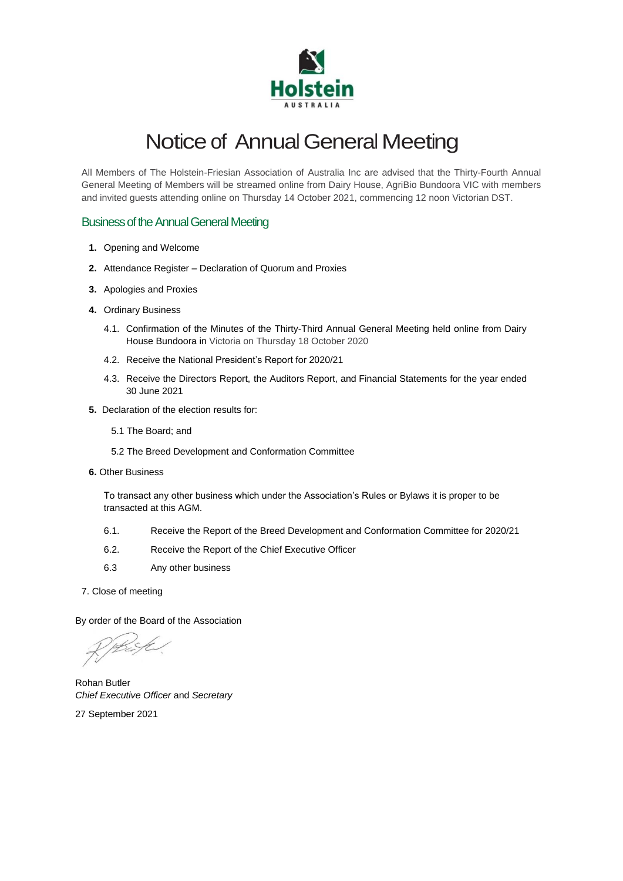

# Notice of Annual General Meeting

All Members of The Holstein-Friesian Association of Australia Inc are advised that the Thirty-Fourth Annual General Meeting of Members will be streamed online from Dairy House, AgriBio Bundoora VIC with members and invited guests attending online on Thursday 14 October 2021, commencing 12 noon Victorian DST.

# **Business of the Annual General Meeting**

- **1.** Opening and Welcome
- **2.** Attendance Register Declaration of Quorum and Proxies
- **3.** Apologies and Proxies
- **4.** Ordinary Business
	- 4.1. Confirmation of the Minutes of the Thirty-Third Annual General Meeting held online from Dairy House Bundoora in Victoria on Thursday 18 October 2020
	- 4.2. Receive the National President's Report for 2020/21
	- 4.3. Receive the Directors Report, the Auditors Report, and Financial Statements for the year ended 30 June 2021
- **5.** Declaration of the election results for:
	- 5.1 The Board; and
	- 5.2 The Breed Development and Conformation Committee
- **6.** Other Business

To transact any other business which under the Association's Rules or Bylaws it is proper to be transacted at this AGM.

- 6.1. Receive the Report of the Breed Development and Conformation Committee for 2020/21
- 6.2. Receive the Report of the Chief Executive Officer
- 6.3 Any other business
- 7. Close of meeting

By order of the Board of the Association

Rohan Butler *Chief Executive Officer* and *Secretary*

27 September 2021